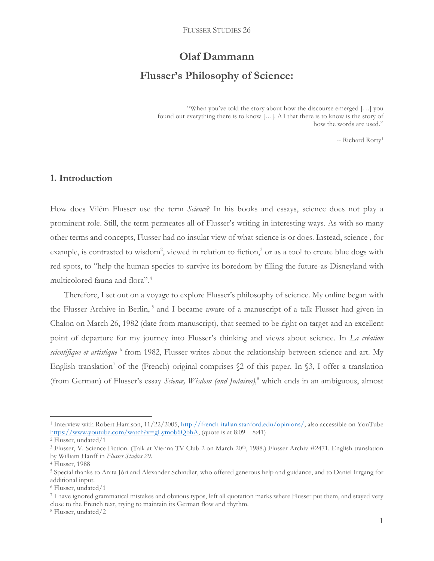# **Olaf Dammann Flusser's Philosophy of Science:**

"When you've told the story about how the discourse emerged […] you found out everything there is to know […]. All that there is to know is the story of how the words are used."

-- Richard Rorty<sup>1</sup>

#### **1. Introduction**

How does Vilém Flusser use the term *Science*? In his books and essays, science does not play a prominent role. Still, the term permeates all of Flusser's writing in interesting ways. As with so many other terms and concepts, Flusser had no insular view of what science is or does. Instead, science , for example, is contrasted to wisdom<sup>2</sup>, viewed in relation to fiction,<sup>3</sup> or as a tool to create blue dogs with red spots, to "help the human species to survive its boredom by filling the future-as-Disneyland with multicolored fauna and flora". 4

Therefore, I set out on a voyage to explore Flusser's philosophy of science. My online began with the Flusser Archive in Berlin,<sup>5</sup> and I became aware of a manuscript of a talk Flusser had given in Chalon on March 26, 1982 (date from manuscript), that seemed to be right on target and an excellent point of departure for my journey into Flusser's thinking and views about science. In *La création*  scientifique et artistique <sup>6</sup> from 1982, Flusser writes about the relationship between science and art. My English translation<sup>7</sup> of the (French) original comprises  $\&$  of this paper. In  $\&$ 3, I offer a translation (from German) of Flusser's essay *Science, Wisdom (and Judaism),*<sup>8</sup> which ends in an ambiguous, almost

<sup>&</sup>lt;sup>1</sup> Interview with Robert Harrison, 11/22/2005, [http://french-italian.stanford.edu/opinions/;](http://french-italian.stanford.edu/opinions/) also accessible on YouTube [https://www.youtube.com/watch?v=gLymob6QbhA,](https://www.youtube.com/watch?v=gLymob6QbhA) (quote is at 8:09 – 8:41)

<sup>2</sup> Flusser, undated/1

<sup>&</sup>lt;sup>3</sup> Flusser, V. Science Fiction. (Talk at Vienna TV Club 2 on March 20<sup>th</sup>, 1988.) Flusser Archiv #2471. English translation by William Hanff in *Flusser Studies 20*.

<sup>4</sup> Flusser, 1988

<sup>5</sup> Special thanks to Anita Jóri and Alexander Schindler, who offered generous help and guidance, and to Daniel Irrgang for additional input.

<sup>6</sup> Flusser, undated/1

<sup>7</sup> I have ignored grammatical mistakes and obvious typos, left all quotation marks where Flusser put them, and stayed very close to the French text, trying to maintain its German flow and rhythm.

<sup>8</sup> Flusser, undated/2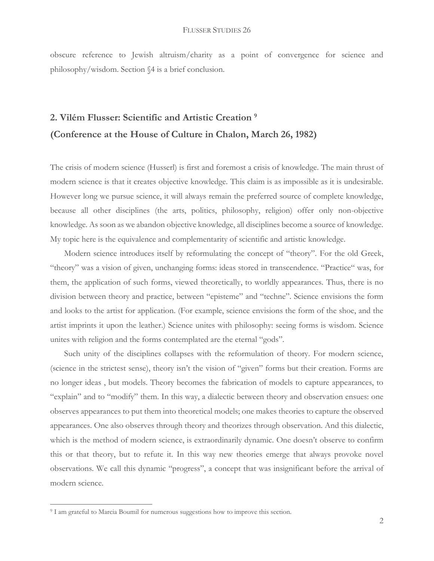obscure reference to Jewish altruism/charity as a point of convergence for science and philosophy/wisdom. Section §4 is a brief conclusion.

## **2. Vilém Flusser: Scientific and Artistic Creation <sup>9</sup> (Conference at the House of Culture in Chalon, March 26, 1982)**

The crisis of modern science (Husserl) is first and foremost a crisis of knowledge. The main thrust of modern science is that it creates objective knowledge. This claim is as impossible as it is undesirable. However long we pursue science, it will always remain the preferred source of complete knowledge, because all other disciplines (the arts, politics, philosophy, religion) offer only non-objective knowledge. As soon as we abandon objective knowledge, all disciplines become a source of knowledge. My topic here is the equivalence and complementarity of scientific and artistic knowledge.

Modern science introduces itself by reformulating the concept of "theory". For the old Greek, "theory" was a vision of given, unchanging forms: ideas stored in transcendence. "Practice" was, for them, the application of such forms, viewed theoretically, to worldly appearances. Thus, there is no division between theory and practice, between "episteme" and "techne". Science envisions the form and looks to the artist for application. (For example, science envisions the form of the shoe, and the artist imprints it upon the leather.) Science unites with philosophy: seeing forms is wisdom. Science unites with religion and the forms contemplated are the eternal "gods".

Such unity of the disciplines collapses with the reformulation of theory. For modern science, (science in the strictest sense), theory isn't the vision of "given" forms but their creation. Forms are no longer ideas , but models. Theory becomes the fabrication of models to capture appearances, to "explain" and to "modify" them. In this way, a dialectic between theory and observation ensues: one observes appearances to put them into theoretical models; one makes theories to capture the observed appearances. One also observes through theory and theorizes through observation. And this dialectic, which is the method of modern science, is extraordinarily dynamic. One doesn't observe to confirm this or that theory, but to refute it. In this way new theories emerge that always provoke novel observations. We call this dynamic "progress", a concept that was insignificant before the arrival of modern science.

<sup>&</sup>lt;sup>9</sup> I am grateful to Marcia Boumil for numerous suggestions how to improve this section.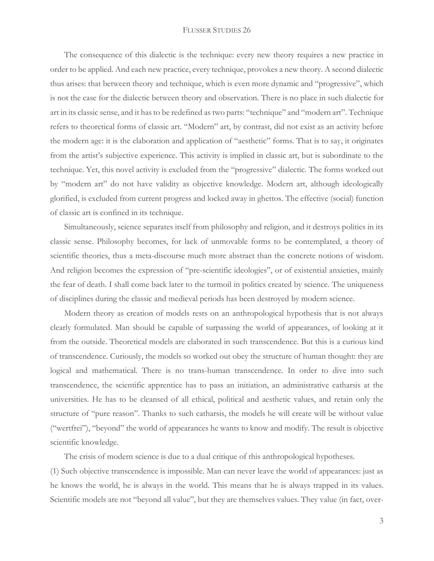The consequence of this dialectic is the technique: every new theory requires a new practice in order to be applied. And each new practice, every technique, provokes a new theory. A second dialectic thus arises: that between theory and technique, which is even more dynamic and "progressive", which is not the case for the dialectic between theory and observation. There is no place in such dialectic for art in its classic sense, and it has to be redefined as two parts: "technique" and "modern art". Technique refers to theoretical forms of classic art. "Modern" art, by contrast, did not exist as an activity before the modern age: it is the elaboration and application of "aesthetic" forms. That is to say, it originates from the artist's subjective experience. This activity is implied in classic art, but is subordinate to the technique. Yet, this novel activity is excluded from the "progressive" dialectic. The forms worked out by "modern art" do not have validity as objective knowledge. Modern art, although ideologically glorified, is excluded from current progress and locked away in ghettos. The effective (social) function of classic art is confined in its technique.

Simultaneously, science separates itself from philosophy and religion, and it destroys politics in its classic sense. Philosophy becomes, for lack of unmovable forms to be contemplated, a theory of scientific theories, thus a meta-discourse much more abstract than the concrete notions of wisdom. And religion becomes the expression of "pre-scientific ideologies", or of existential anxieties, mainly the fear of death. I shall come back later to the turmoil in politics created by science. The uniqueness of disciplines during the classic and medieval periods has been destroyed by modern science.

Modern theory as creation of models rests on an anthropological hypothesis that is not always clearly formulated. Man should be capable of surpassing the world of appearances, of looking at it from the outside. Theoretical models are elaborated in such transcendence. But this is a curious kind of transcendence. Curiously, the models so worked out obey the structure of human thought: they are logical and mathematical. There is no trans-human transcendence. In order to dive into such transcendence, the scientific apprentice has to pass an initiation, an administrative catharsis at the universities. He has to be cleansed of all ethical, political and aesthetic values, and retain only the structure of "pure reason". Thanks to such catharsis, the models he will create will be without value ("wertfrei"), "beyond" the world of appearances he wants to know and modify. The result is objective scientific knowledge.

The crisis of modern science is due to a dual critique of this anthropological hypotheses.

(1) Such objective transcendence is impossible. Man can never leave the world of appearances: just as he knows the world, he is always in the world. This means that he is always trapped in its values. Scientific models are not "beyond all value", but they are themselves values. They value (in fact, over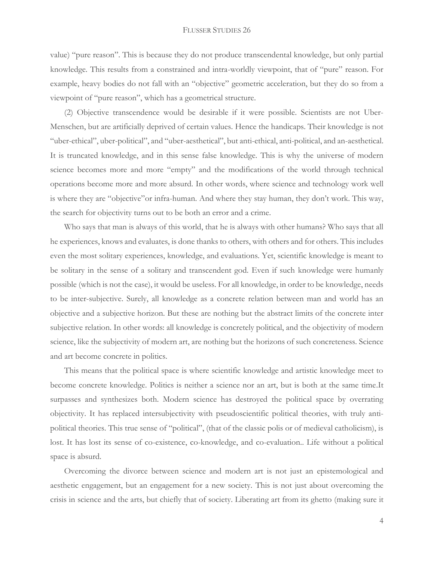value) "pure reason". This is because they do not produce transcendental knowledge, but only partial knowledge. This results from a constrained and intra-worldly viewpoint, that of "pure" reason. For example, heavy bodies do not fall with an "objective" geometric acceleration, but they do so from a viewpoint of "pure reason", which has a geometrical structure.

(2) Objective transcendence would be desirable if it were possible. Scientists are not Uber-Menschen, but are artificially deprived of certain values. Hence the handicaps. Their knowledge is not "uber-ethical", uber-political", and "uber-aesthetical", but anti-ethical, anti-political, and an-aesthetical. It is truncated knowledge, and in this sense false knowledge. This is why the universe of modern science becomes more and more "empty" and the modifications of the world through technical operations become more and more absurd. In other words, where science and technology work well is where they are "objective"or infra-human. And where they stay human, they don't work. This way, the search for objectivity turns out to be both an error and a crime.

Who says that man is always of this world, that he is always with other humans? Who says that all he experiences, knows and evaluates, is done thanks to others, with others and for others. This includes even the most solitary experiences, knowledge, and evaluations. Yet, scientific knowledge is meant to be solitary in the sense of a solitary and transcendent god. Even if such knowledge were humanly possible (which is not the case), it would be useless. For all knowledge, in order to be knowledge, needs to be inter-subjective. Surely, all knowledge as a concrete relation between man and world has an objective and a subjective horizon. But these are nothing but the abstract limits of the concrete inter subjective relation. In other words: all knowledge is concretely political, and the objectivity of modern science, like the subjectivity of modern art, are nothing but the horizons of such concreteness. Science and art become concrete in politics.

This means that the political space is where scientific knowledge and artistic knowledge meet to become concrete knowledge. Politics is neither a science nor an art, but is both at the same time.It surpasses and synthesizes both. Modern science has destroyed the political space by overrating objectivity. It has replaced intersubjectivity with pseudoscientific political theories, with truly antipolitical theories. This true sense of "political", (that of the classic polis or of medieval catholicism), is lost. It has lost its sense of co-existence, co-knowledge, and co-evaluation.. Life without a political space is absurd.

Overcoming the divorce between science and modern art is not just an epistemological and aesthetic engagement, but an engagement for a new society. This is not just about overcoming the crisis in science and the arts, but chiefly that of society. Liberating art from its ghetto (making sure it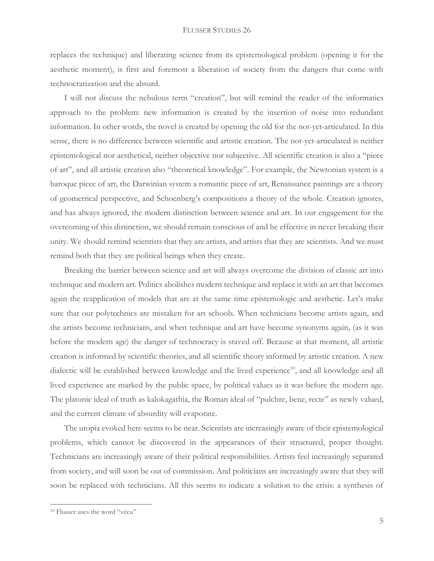replaces the technique) and liberating science from its epistemological problem (opening it for the aesthetic moment), is first and foremost a liberation of society from the dangers that come with technocratization and the absurd.

I will not discuss the nebulous term "creation", but will remind the reader of the informatics approach to the problem: new information is created by the insertion of noise into redundant information. In other words, the novel is created by opening the old for the not-yet-articulated. In this sense, there is no difference between scientific and artistic creation. The not-yet-articulated is neither epistemological nor aesthetical, neither objective nor subjective. All scientific creation is also a "piece of art", and all artistic creation also "theoretical knowledge". For example, the Newtonian system is a baroque piece of art, the Darwinian system a romantic piece of art, Renaissance paintings are a theory of geometrical perspective, and Schoenberg's compositions a theory of the whole. Creation ignores, and has always ignored, the modern distinction between science and art. In our engagement for the overcoming of this distinction, we should remain conscious of and be effective in never breaking their unity. We should remind scientists that they are artists, and artists that they are scientists. And we must remind both that they are political beings when they create.

Breaking the barrier between science and art will always overcome the division of classic art into technique and modern art. Politics abolishes modern technique and replace it with an art that becomes again the reapplication of models that are at the same time epistemologic and aesthetic. Let's make sure that our polytechnics are mistaken for art schools. When technicians become artists again, and the artists become technicians, and when technique and art have become synonyms again, (as it was before the modern age) the danger of technocracy is staved off. Because at that moment, all artistic creation is informed by scientific theories, and all scientific theory informed by artistic creation. A new dialectic will be established between knowledge and the lived experience<sup>10</sup>, and all knowledge and all lived experience are marked by the public space, by political values as it was before the modern age. The platonic ideal of truth as kalokagathia, the Roman ideal of "pulchre, bene, recte" as newly valued, and the current climate of absurdity will evaporate.

The utopia evoked here seems to be near. Scientists are increasingly aware of their epistemological problems, which cannot be discovered in the appearances of their structured, proper thought. Technicians are increasingly aware of their political responsibilities. Artists feel increasingly separated from society, and will soon be out of commission. And politicians are increasingly aware that they will soon be replaced with technicians. All this seems to indicate a solution to the crisis: a synthesis of

<sup>10</sup> Flusser uses the word "vécu"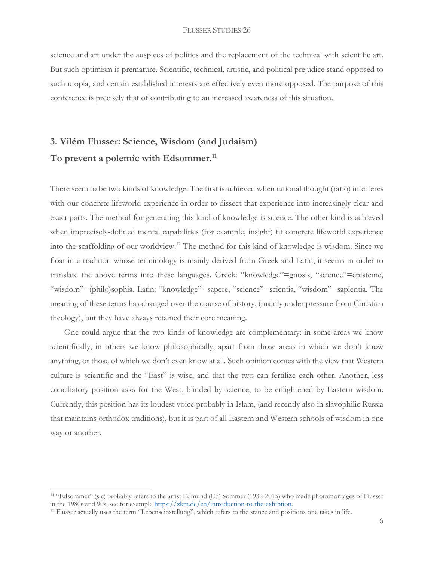science and art under the auspices of politics and the replacement of the technical with scientific art. But such optimism is premature. Scientific, technical, artistic, and political prejudice stand opposed to such utopia, and certain established interests are effectively even more opposed. The purpose of this conference is precisely that of contributing to an increased awareness of this situation.

## **3. Vilém Flusser: Science, Wisdom (and Judaism) To prevent a polemic with Edsommer.<sup>11</sup>**

There seem to be two kinds of knowledge. The first is achieved when rational thought (ratio) interferes with our concrete lifeworld experience in order to dissect that experience into increasingly clear and exact parts. The method for generating this kind of knowledge is science. The other kind is achieved when imprecisely-defined mental capabilities (for example, insight) fit concrete lifeworld experience into the scaffolding of our worldview.<sup>12</sup> The method for this kind of knowledge is wisdom. Since we float in a tradition whose terminology is mainly derived from Greek and Latin, it seems in order to translate the above terms into these languages. Greek: "knowledge"=gnosis, "science"=episteme, "wisdom"=(philo)sophia. Latin: "knowledge"=sapere, "science"=scientia, "wisdom"=sapientia. The meaning of these terms has changed over the course of history, (mainly under pressure from Christian theology), but they have always retained their core meaning.

One could argue that the two kinds of knowledge are complementary: in some areas we know scientifically, in others we know philosophically, apart from those areas in which we don't know anything, or those of which we don't even know at all. Such opinion comes with the view that Western culture is scientific and the "East" is wise, and that the two can fertilize each other. Another, less conciliatory position asks for the West, blinded by science, to be enlightened by Eastern wisdom. Currently, this position has its loudest voice probably in Islam, (and recently also in slavophilic Russia that maintains orthodox traditions), but it is part of all Eastern and Western schools of wisdom in one way or another.

<sup>11</sup> "Edsommer" (sic) probably refers to the artist Edmund (Ed) Sommer (1932-2015) who made photomontages of Flusser in the 1980s and 90s; see for example [https://zkm.de/en/introduction-to-the-exhibtion.](https://zkm.de/en/introduction-to-the-exhibtion) 

<sup>&</sup>lt;sup>12</sup> Flusser actually uses the term "Lebenseinstellung", which refers to the stance and positions one takes in life.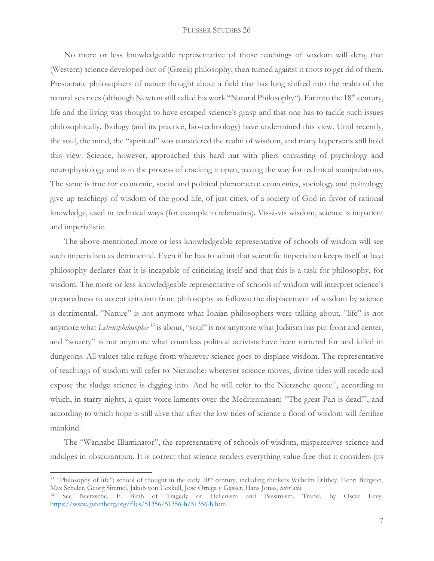No more or less knowledgeable representative of those teachings of wisdom will deny that (Western) science developed out of (Greek) philosophy, then turned against it roots to get rid of them. Presocratic philosophers of nature thought about a field that has long shifted into the realm of the natural sciences (although Newton still called his work "Natural Philosophy"). Far into the 18<sup>th</sup> century, life and the living was thought to have escaped science's grasp and that one has to tackle such issues philosophically. Biology (and its practice, bio-technology) have undermined this view. Until recently, the soul, the mind, the "spiritual" was considered the realm of wisdom, and many laypersons still hold this view. Science, however, approached this hard nut with pliers consisting of psychology and neurophysiology and is in the process of cracking it open, paving the way for technical manipulations. The same is true for economic, social and political phenomena: economics, sociology and politology give up teachings of wisdom of the good life, of just cities, of a society of God in favor of rational knowledge, used in technical ways (for example in telematics). Vis-à-vis wisdom, science is impatient and imperialistic.

The above-mentioned more or less knowledgeable representative of schools of wisdom will see such imperialism as detrimental. Even if he has to admit that scientific imperialism keeps itself at bay: philosophy declares that it is incapable of criticizing itself and that this is a task for philosophy, for wisdom. The more or less knowledgeable representative of schools of wisdom will interpret science's preparedness to accept criticism from philosophy as follows: the displacement of wisdom by science is detrimental. "Nature" is not anymore what Ionian philosophers were talking about, "life" is not anymore what *Lebensphilosophie* <sup>13</sup> is about, "soul" is not anymore what Judaism has put front and center, and "society" is not anymore what countless political activists have been tortured for and killed in dungeons. All values take refuge from wherever science goes to displace wisdom. The representative of teachings of wisdom will refer to Nietzsche: wherever science moves, divine tides will recede and expose the sludge science is digging into. And he will refer to the Nietzsche quote<sup>14</sup>, according to which, in starry nights, a quiet voice laments over the Mediterranean: "The great Pan is dead!", and according to which hope is still alive that after the low tides of science a flood of wisdom will fertilize mankind.

The "Wannabe-Illuminator", the representative of schools of wisdom, misperceives science and indulges in obscurantism. It is correct that science renders everything value-free that it considers (its

<sup>&</sup>lt;sup>13</sup> "Philosophy of life"; school of thought in the early 20<sup>th</sup> century, including thinkers Wilhelm Dilthey, Henri Bergson, Max Scheler, Georg Simmel, Jakob von Uexküll, José Ortega y Gasset, Hans Jonas, *inter alia*.

<sup>14</sup> See Nietzsche, F. Birth of Tragedy or Hellenism and Pessimism. Transl. by Oscar Levy. <https://www.gutenberg.org/files/51356/51356-h/51356-h.htm>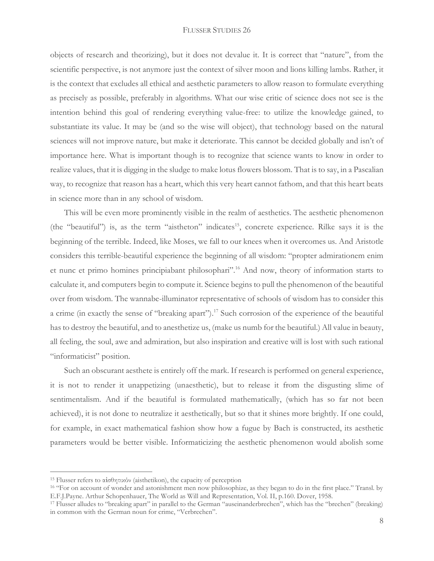objects of research and theorizing), but it does not devalue it. It is correct that "nature", from the scientific perspective, is not anymore just the context of silver moon and lions killing lambs. Rather, it is the context that excludes all ethical and aesthetic parameters to allow reason to formulate everything as precisely as possible, preferably in algorithms. What our wise critic of science does not see is the intention behind this goal of rendering everything value-free: to utilize the knowledge gained, to substantiate its value. It may be (and so the wise will object), that technology based on the natural sciences will not improve nature, but make it deteriorate. This cannot be decided globally and isn't of importance here. What is important though is to recognize that science wants to know in order to realize values, that it is digging in the sludge to make lotus flowers blossom. That is to say, in a Pascalian way, to recognize that reason has a heart, which this very heart cannot fathom, and that this heart beats in science more than in any school of wisdom.

This will be even more prominently visible in the realm of aesthetics. The aesthetic phenomenon (the "beautiful") is, as the term "aistheton" indicates<sup>15</sup>, concrete experience. Rilke says it is the beginning of the terrible. Indeed, like Moses, we fall to our knees when it overcomes us. And Aristotle considers this terrible-beautiful experience the beginning of all wisdom: "propter admirationem enim et nunc et primo homines principiabant philosophari".<sup>16</sup> And now, theory of information starts to calculate it, and computers begin to compute it. Science begins to pull the phenomenon of the beautiful over from wisdom. The wannabe-illuminator representative of schools of wisdom has to consider this a crime (in exactly the sense of "breaking apart").<sup>17</sup> Such corrosion of the experience of the beautiful has to destroy the beautiful, and to anesthetize us, (make us numb for the beautiful.) All value in beauty, all feeling, the soul, awe and admiration, but also inspiration and creative will is lost with such rational "informaticist" position.

Such an obscurant aesthete is entirely off the mark. If research is performed on general experience, it is not to render it unappetizing (unaesthetic), but to release it from the disgusting slime of sentimentalism. And if the beautiful is formulated mathematically, (which has so far not been achieved), it is not done to neutralize it aesthetically, but so that it shines more brightly. If one could, for example, in exact mathematical fashion show how a fugue by Bach is constructed, its aesthetic parameters would be better visible. Informaticizing the aesthetic phenomenon would abolish some

<sup>&</sup>lt;sup>15</sup> Flusser refers to αισθητικόν (aisthetikon), the capacity of perception

<sup>16</sup> "For on account of wonder and astonishment men now philosophize, as they began to do in the first place." Transl. by E.F.J.Payne. Arthur Schopenhauer, The World as Will and Representation, Vol. II, p.160. Dover, 1958.

<sup>&</sup>lt;sup>17</sup> Flusser alludes to "breaking apart" in parallel to the German "auseinanderbrechen", which has the "brechen" (breaking) in common with the German noun for crime, "Verbrechen".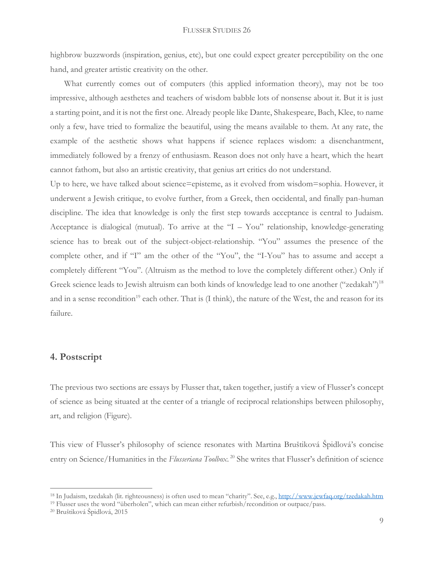highbrow buzzwords (inspiration, genius, etc), but one could expect greater perceptibility on the one hand, and greater artistic creativity on the other.

What currently comes out of computers (this applied information theory), may not be too impressive, although aesthetes and teachers of wisdom babble lots of nonsense about it. But it is just a starting point, and it is not the first one. Already people like Dante, Shakespeare, Bach, Klee, to name only a few, have tried to formalize the beautiful, using the means available to them. At any rate, the example of the aesthetic shows what happens if science replaces wisdom: a disenchantment, immediately followed by a frenzy of enthusiasm. Reason does not only have a heart, which the heart cannot fathom, but also an artistic creativity, that genius art critics do not understand.

Up to here, we have talked about science=episteme, as it evolved from wisdom=sophia. However, it underwent a Jewish critique, to evolve further, from a Greek, then occidental, and finally pan-human discipline. The idea that knowledge is only the first step towards acceptance is central to Judaism. Acceptance is dialogical (mutual). To arrive at the "I – You" relationship, knowledge-generating science has to break out of the subject-object-relationship. "You" assumes the presence of the complete other, and if "I" am the other of the "You", the "I-You" has to assume and accept a completely different "You". (Altruism as the method to love the completely different other.) Only if Greek science leads to Jewish altruism can both kinds of knowledge lead to one another ("zedakah")<sup>18</sup> and in a sense recondition<sup>19</sup> each other. That is (I think), the nature of the West, the and reason for its failure.

### **4. Postscript**

The previous two sections are essays by Flusser that, taken together, justify a view of Flusser's concept of science as being situated at the center of a triangle of reciprocal relationships between philosophy, art, and religion (Figure).

This view of Flusser's philosophy of science resonates with Martina Bruštiková Špidlová's concise entry on Science/Humanities in the *Flusseriana Toolbox*. <sup>20</sup> She writes that Flusser's definition of science

<sup>19</sup> Flusser uses the word "überholen", which can mean either refurbish/recondition or outpace/pass.

<sup>&</sup>lt;sup>18</sup> In Judaism, tzedakah (lit. righteousness) is often used to mean "charity". See, e.g., <http://www.jewfaq.org/tzedakah.htm>

<sup>20</sup> Bruštiková Špidlová, 2015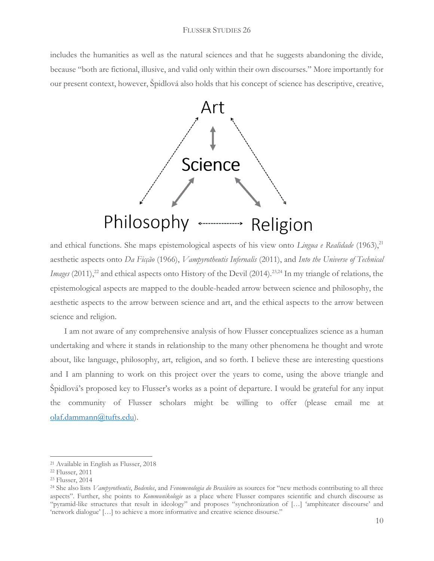includes the humanities as well as the natural sciences and that he suggests abandoning the divide, because "both are fictional, illusive, and valid only within their own discourses." More importantly for our present context, however, Špidlová also holds that his concept of science has descriptive, creative,



and ethical functions. She maps epistemological aspects of his view onto *Lingua e Realidade* (1963),<sup>21</sup> aesthetic aspects onto *Da Ficção* (1966), *Vampyrotheutis Infernalis* (2011), and *Into the Universe of Technical Images* (2011),<sup>22</sup> and ethical aspects onto History of the Devil (2014).<sup>23,24</sup> In my triangle of relations, the epistemological aspects are mapped to the double-headed arrow between science and philosophy, the aesthetic aspects to the arrow between science and art, and the ethical aspects to the arrow between science and religion.

I am not aware of any comprehensive analysis of how Flusser conceptualizes science as a human undertaking and where it stands in relationship to the many other phenomena he thought and wrote about, like language, philosophy, art, religion, and so forth. I believe these are interesting questions and I am planning to work on this project over the years to come, using the above triangle and Špidlová's proposed key to Flusser's works as a point of departure. I would be grateful for any input the community of Flusser scholars might be willing to offer (please email me at [olaf.dammann@tufts.edu\)](mailto:olaf.dammann@tufts.edu).

<sup>21</sup> Available in English as Flusser, 2018

<sup>22</sup> Flusser, 2011

<sup>23</sup> Flusser, 2014

<sup>24</sup> She also lists *Vampyrotheutis*, *Bodenlos*, and *Fenomenologia do Brasileiro* as sources for "new methods contributing to all three aspects". Further, she points to *Kommunikologie* as a place where Flusser compares scientific and church discourse as "pyramid-like structures that result in ideology" and proposes "synchronization of […] 'amphiteater discourse' and 'network dialogue' […] to achieve a more informative and creative science disourse."